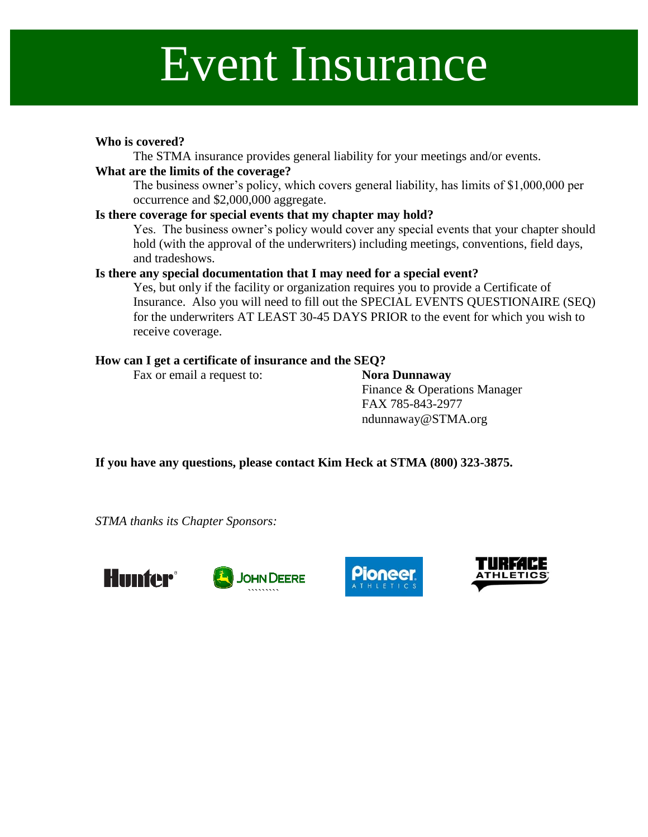## Event Insurance

### **Who is covered?**

The STMA insurance provides general liability for your meetings and/or events.

#### **What are the limits of the coverage?**

The business owner's policy, which covers general liability, has limits of \$1,000,000 per occurrence and \$2,000,000 aggregate.

### **Is there coverage for special events that my chapter may hold?**

Yes. The business owner's policy would cover any special events that your chapter should hold (with the approval of the underwriters) including meetings, conventions, field days, and tradeshows.

#### **Is there any special documentation that I may need for a special event?**

Yes, but only if the facility or organization requires you to provide a Certificate of Insurance. Also you will need to fill out the SPECIAL EVENTS QUESTIONAIRE (SEQ) for the underwriters AT LEAST 30-45 DAYS PRIOR to the event for which you wish to receive coverage.

#### **How can I get a certificate of insurance and the SEQ?**

Fax or email a request to: **Nora Dunnaway** 

Finance & Operations Manager FAX 785-843-2977 ndunnaway@STMA.org

**If you have any questions, please contact Kim Heck at STMA (800) 323-3875.**

*STMA thanks its Chapter Sponsors:*